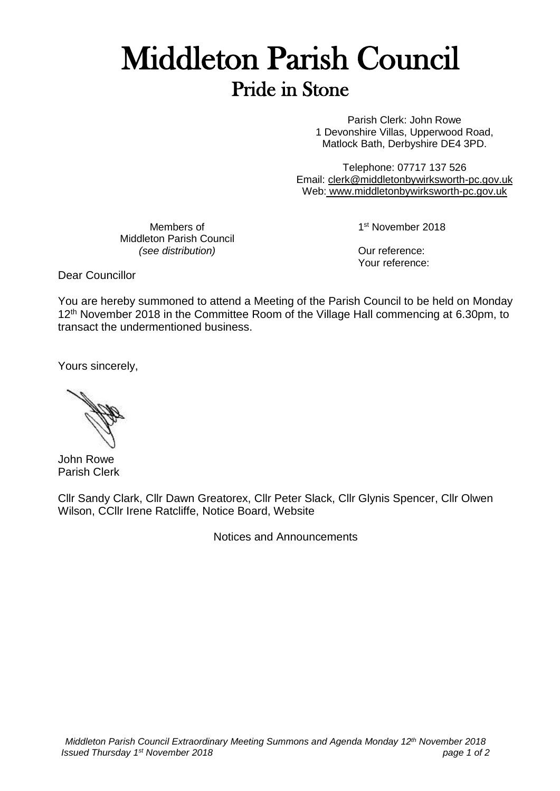## Middleton Parish Council Pride in Stone

Parish Clerk: John Rowe 1 Devonshire Villas, Upperwood Road, Matlock Bath, Derbyshire DE4 3PD.

Telephone: 07717 137 526 Email: [clerk@middletonbywirksworth-pc.gov.uk](mailto:clerk@middletonbywirksworth-pc.gov.uk) Web: [www.middletonbywirksworth-pc.gov.uk](http://www.middletonbywirksworth-pc.gov.uk/)

Members of Middleton Parish Council *(see distribution)*

1st November 2018

Our reference: Your reference:

Dear Councillor

You are hereby summoned to attend a Meeting of the Parish Council to be held on Monday 12<sup>th</sup> November 2018 in the Committee Room of the Village Hall commencing at 6.30pm, to transact the undermentioned business.

Yours sincerely,

John Rowe Parish Clerk

Cllr Sandy Clark, Cllr Dawn Greatorex, Cllr Peter Slack, Cllr Glynis Spencer, Cllr Olwen Wilson, CCllr Irene Ratcliffe, Notice Board, Website

Notices and Announcements